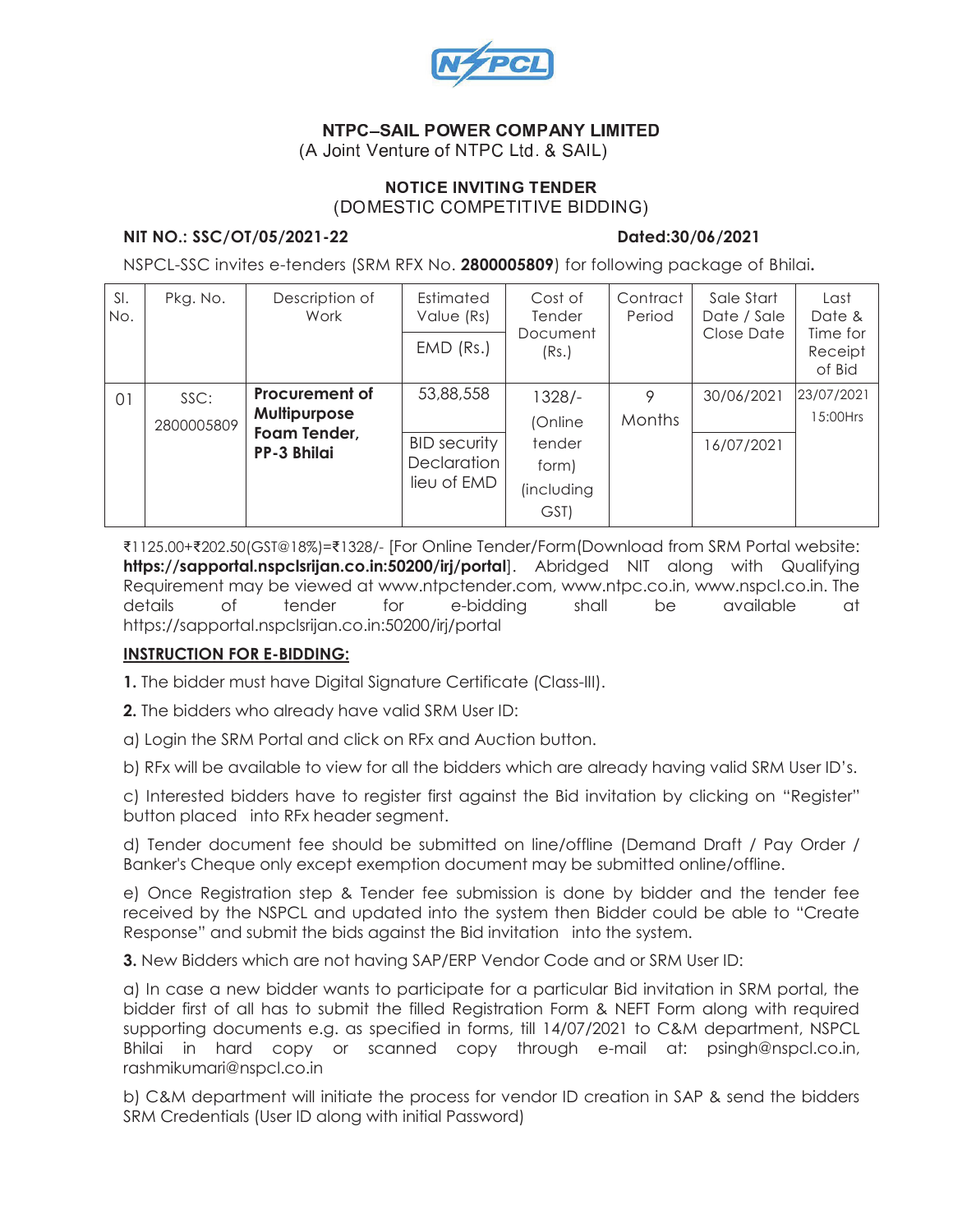

# - -  -

(A Joint Venture of NTPC Ltd. & SAIL)

#### NOTICE INVITING TENDER (DOMESTIC COMPETITIVE BIDDING)

#### **NIT NO.: SSC/OT/05/2021-22 Dated:30/06/2021**

NSPCL-SSC invites e-tenders (SRM RFX No. **2800005809**) for following package of Bhilai**.**

| SI.<br>No. | Description of<br>Pkg. No.<br>Work | Estimated<br>Value (Rs)                                                     | Cost of<br>Tender                                              | Contract<br>Period                                         | Sale Start<br>Date / Sale | Last<br>Date &           |                               |
|------------|------------------------------------|-----------------------------------------------------------------------------|----------------------------------------------------------------|------------------------------------------------------------|---------------------------|--------------------------|-------------------------------|
|            |                                    |                                                                             | $EMD$ (Rs.)                                                    | Document<br>(Rs.)                                          |                           | Close Date               | Time for<br>Receipt<br>of Bid |
| 01         | SSC:<br>2800005809                 | <b>Procurement of</b><br>Multipurpose<br>Foam Tender,<br><b>PP-3 Bhilai</b> | 53,88,558<br><b>BID security</b><br>Declaration<br>lieu of EMD | 1328/-<br>(Online<br>tender<br>form)<br>(including<br>GST) | 9<br><b>Months</b>        | 30/06/2021<br>16/07/2021 | 23/07/2021<br>15:00Hrs        |

<sup>7</sup> 1125.00+<sup>7</sup> 202.50(GST@18%)=<sup>7</sup> 1328/- [For Online Tender/Form(Download from SRM Portal website: **https://sapportal.nspclsrijan.co.in:50200/irj/portal**]. Abridged NIT along with Qualifying Requirement may be viewed at www.ntpctender.com, www.ntpc.co.in, www.nspcl.co.in. The details of tender for e-bidding shall be available at https://sapportal.nspclsrijan.co.in:50200/irj/portal

# **INSTRUCTION FOR E-BIDDING:**

**1.** The bidder must have Digital Signature Certificate (Class-III).

**2.** The bidders who already have valid SRM User ID:

a) Login the SRM Portal and click on RFx and Auction button.

b) RFx will be available to view for all the bidders which are already having valid SRM User ID's.

c) Interested bidders have to register first against the Bid invitation by clicking on "Register" button placed into RFx header segment.

d) Tender document fee should be submitted on line/offline (Demand Draft / Pay Order / Banker's Cheque only except exemption document may be submitted online/offline.

e) Once Registration step & Tender fee submission is done by bidder and the tender fee received by the NSPCL and updated into the system then Bidder could be able to "Create Response" and submit the bids against the Bid invitation into the system.

**3.** New Bidders which are not having SAP/ERP Vendor Code and or SRM User ID:

a) In case a new bidder wants to participate for a particular Bid invitation in SRM portal, the bidder first of all has to submit the filled Registration Form & NEFT Form along with required supporting documents e.g. as specified in forms, till 14/07/2021 to C&M department, NSPCL Bhilai in hard copy or scanned copy through e-mail at: psingh@nspcl.co.in, rashmikumari@nspcl.co.in

b) C&M department will initiate the process for vendor ID creation in SAP & send the bidders SRM Credentials (User ID along with initial Password)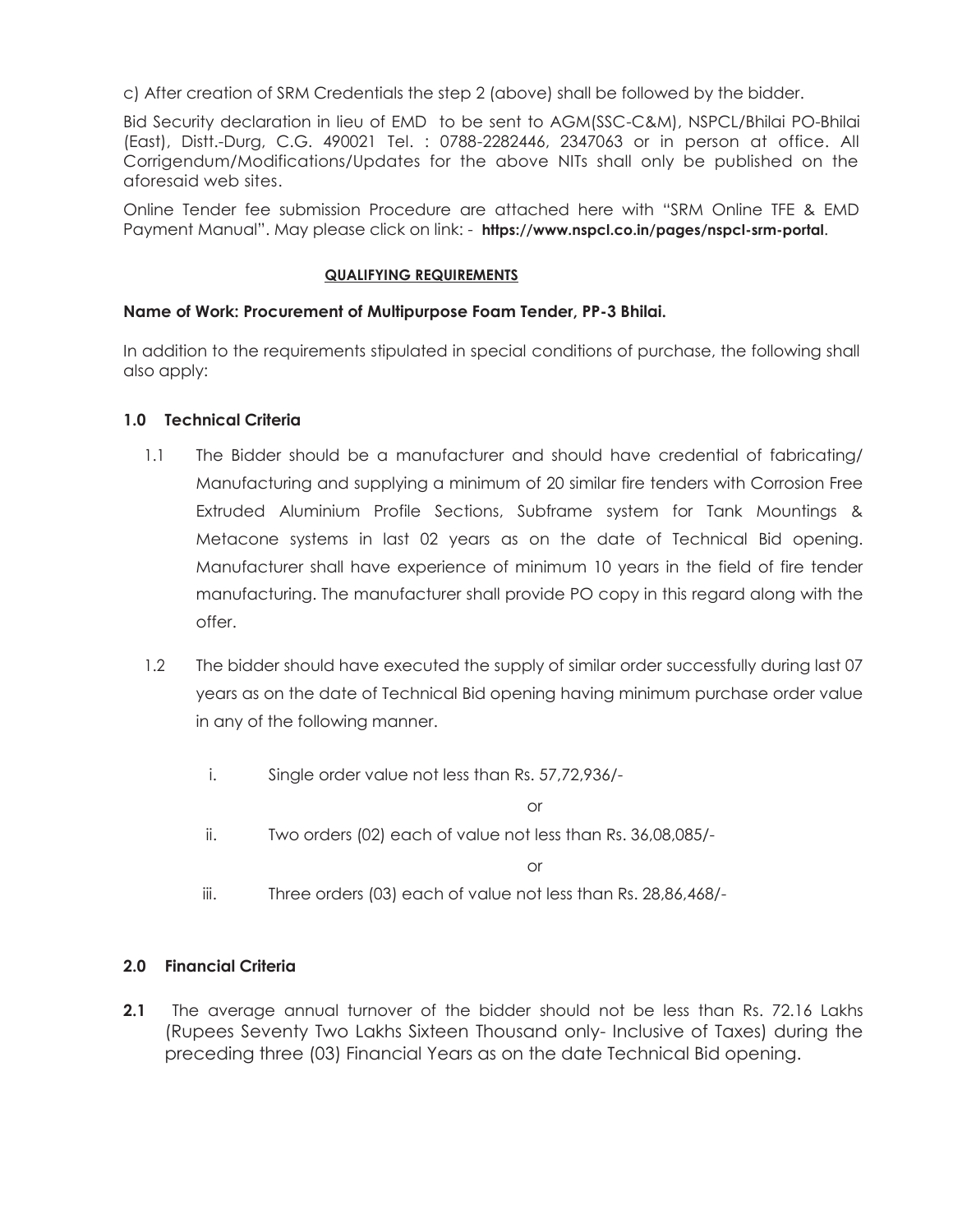c) After creation of SRM Credentials the step 2 (above) shall be followed by the bidder.

Bid Security declaration in lieu of EMD to be sent to AGM(SSC-C&M), NSPCL/Bhilai PO-Bhilai (East), Distt.-Durg, C.G. 490021 Tel. : 0788-2282446, 2347063 or in person at office. All Corrigendum/Modifications/Updates for the above NITs shall only be published on the aforesaid web sites.

Online Tender fee submission Procedure are attached here with "SRM Online TFE & EMD Payment Manual". May please click on link: - **https://www.nspcl.co.in/pages/nspcl-srm-portal**.

#### **QUALIFYING REQUIREMENTS**

# **Name of Work: Procurement of Multipurpose Foam Tender, PP-3 Bhilai.**

In addition to the requirements stipulated in special conditions of purchase, the following shall also apply:

# **1.0 Technical Criteria**

- 1.1 The Bidder should be a manufacturer and should have credential of fabricating/ Manufacturing and supplying a minimum of 20 similar fire tenders with Corrosion Free Extruded Aluminium Profile Sections, Subframe system for Tank Mountings & Metacone systems in last 02 years as on the date of Technical Bid opening. Manufacturer shall have experience of minimum 10 years in the field of fire tender manufacturing. The manufacturer shall provide PO copy in this regard along with the offer.
- 1.2 The bidder should have executed the supply of similar order successfully during last 07 years as on the date of Technical Bid opening having minimum purchase order value in any of the following manner.
	- i. Single order value not less than Rs. 57,72,936/-

or

ii. Two orders (02) each of value not less than Rs. 36,08,085/-

or

iii. Three orders (03) each of value not less than Rs. 28,86,468/-

# **2.0 Financial Criteria**

**2.1** The average annual turnover of the bidder should not be less than Rs. 72.16 Lakhs (Rupees Seventy Two Lakhs Sixteen Thousand only- Inclusive of Taxes) during the preceding three (03) Financial Years as on the date Technical Bid opening.